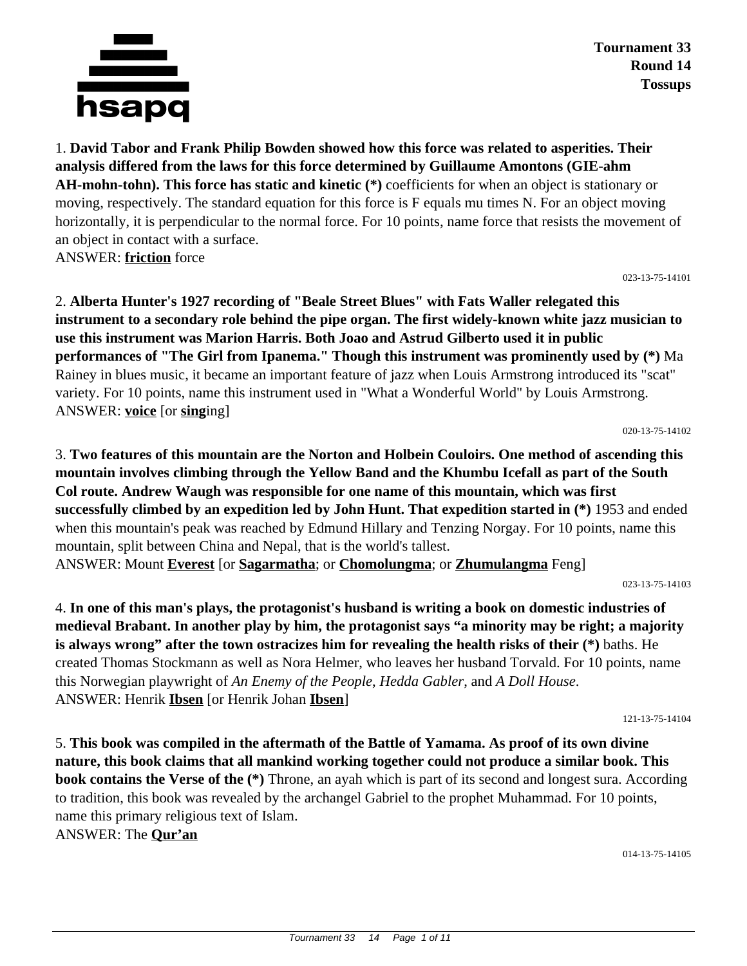

**Tournament 33 Round 14 Tossups**

1. **David Tabor and Frank Philip Bowden showed how this force was related to asperities. Their analysis differed from the laws for this force determined by Guillaume Amontons (GIE-ahm AH-mohn-tohn). This force has static and kinetic (\*)** coefficients for when an object is stationary or moving, respectively. The standard equation for this force is F equals mu times N. For an object moving horizontally, it is perpendicular to the normal force. For 10 points, name force that resists the movement of an object in contact with a surface. ANSWER: **friction** force

023-13-75-14101

2. **Alberta Hunter's 1927 recording of "Beale Street Blues" with Fats Waller relegated this instrument to a secondary role behind the pipe organ. The first widely-known white jazz musician to use this instrument was Marion Harris. Both Joao and Astrud Gilberto used it in public performances of "The Girl from Ipanema." Though this instrument was prominently used by (\*)** Ma Rainey in blues music, it became an important feature of jazz when Louis Armstrong introduced its "scat" variety. For 10 points, name this instrument used in "What a Wonderful World" by Louis Armstrong. ANSWER: **voice** [or **sing**ing]

020-13-75-14102

3. **Two features of this mountain are the Norton and Holbein Couloirs. One method of ascending this mountain involves climbing through the Yellow Band and the Khumbu Icefall as part of the South Col route. Andrew Waugh was responsible for one name of this mountain, which was first successfully climbed by an expedition led by John Hunt. That expedition started in (\*)** 1953 and ended when this mountain's peak was reached by Edmund Hillary and Tenzing Norgay. For 10 points, name this mountain, split between China and Nepal, that is the world's tallest. ANSWER: Mount **Everest** [or **Sagarmatha**; or **Chomolungma**; or **Zhumulangma** Feng]

023-13-75-14103

4. **In one of this man's plays, the protagonist's husband is writing a book on domestic industries of medieval Brabant. In another play by him, the protagonist says "a minority may be right; a majority is always wrong" after the town ostracizes him for revealing the health risks of their (\*)** baths. He created Thomas Stockmann as well as Nora Helmer, who leaves her husband Torvald. For 10 points, name this Norwegian playwright of *An Enemy of the People*, *Hedda Gabler*, and *A Doll House*. ANSWER: Henrik **Ibsen** [or Henrik Johan **Ibsen**]

121-13-75-14104

5. **This book was compiled in the aftermath of the Battle of Yamama. As proof of its own divine nature, this book claims that all mankind working together could not produce a similar book. This book contains the Verse of the (\*)** Throne, an ayah which is part of its second and longest sura. According to tradition, this book was revealed by the archangel Gabriel to the prophet Muhammad. For 10 points, name this primary religious text of Islam.

ANSWER: The **Qur'an**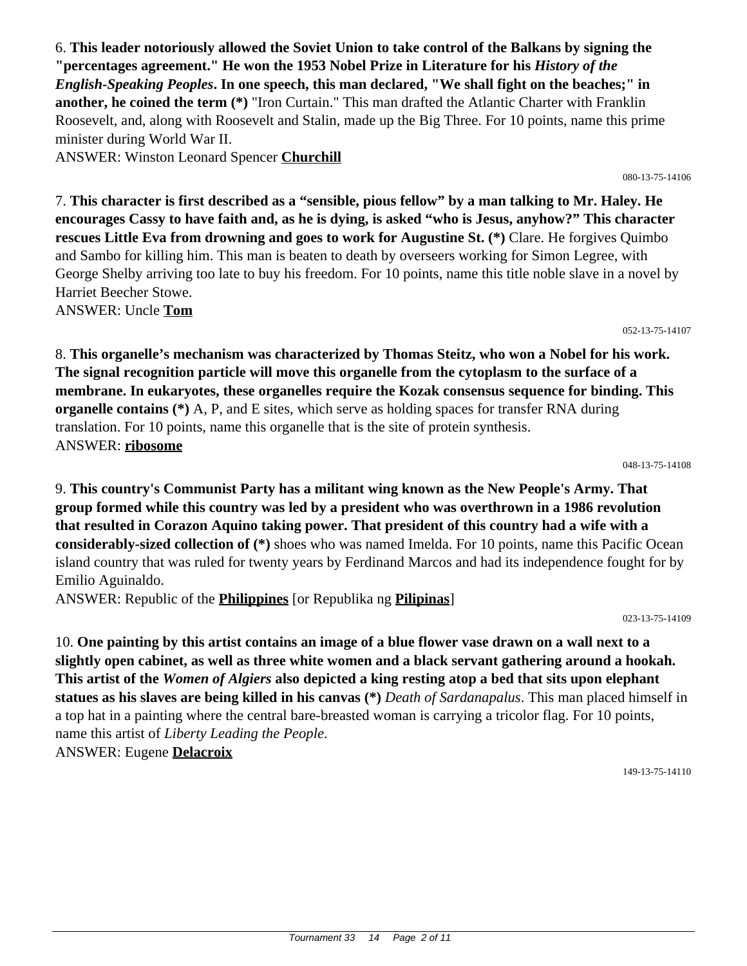6. **This leader notoriously allowed the Soviet Union to take control of the Balkans by signing the "percentages agreement." He won the 1953 Nobel Prize in Literature for his** *History of the English-Speaking Peoples***. In one speech, this man declared, "We shall fight on the beaches;" in another, he coined the term (\*)** "Iron Curtain." This man drafted the Atlantic Charter with Franklin Roosevelt, and, along with Roosevelt and Stalin, made up the Big Three. For 10 points, name this prime minister during World War II.

ANSWER: Winston Leonard Spencer **Churchill**

7. **This character is first described as a "sensible, pious fellow" by a man talking to Mr. Haley. He encourages Cassy to have faith and, as he is dying, is asked "who is Jesus, anyhow?" This character rescues Little Eva from drowning and goes to work for Augustine St. (\*)** Clare. He forgives Quimbo and Sambo for killing him. This man is beaten to death by overseers working for Simon Legree, with George Shelby arriving too late to buy his freedom. For 10 points, name this title noble slave in a novel by Harriet Beecher Stowe. ANSWER: Uncle **Tom**

052-13-75-14107

080-13-75-14106

8. **This organelle's mechanism was characterized by Thomas Steitz, who won a Nobel for his work. The signal recognition particle will move this organelle from the cytoplasm to the surface of a membrane. In eukaryotes, these organelles require the Kozak consensus sequence for binding. This organelle contains (\*)** A, P, and E sites, which serve as holding spaces for transfer RNA during translation. For 10 points, name this organelle that is the site of protein synthesis. ANSWER: **ribosome**

048-13-75-14108

9. **This country's Communist Party has a militant wing known as the New People's Army. That group formed while this country was led by a president who was overthrown in a 1986 revolution that resulted in Corazon Aquino taking power. That president of this country had a wife with a considerably-sized collection of (\*)** shoes who was named Imelda. For 10 points, name this Pacific Ocean island country that was ruled for twenty years by Ferdinand Marcos and had its independence fought for by Emilio Aguinaldo.

ANSWER: Republic of the **Philippines** [or Republika ng **Pilipinas**]

023-13-75-14109

10. **One painting by this artist contains an image of a blue flower vase drawn on a wall next to a slightly open cabinet, as well as three white women and a black servant gathering around a hookah. This artist of the** *Women of Algiers* **also depicted a king resting atop a bed that sits upon elephant statues as his slaves are being killed in his canvas (\*)** *Death of Sardanapalus*. This man placed himself in a top hat in a painting where the central bare-breasted woman is carrying a tricolor flag. For 10 points, name this artist of *Liberty Leading the People*. ANSWER: Eugene **Delacroix**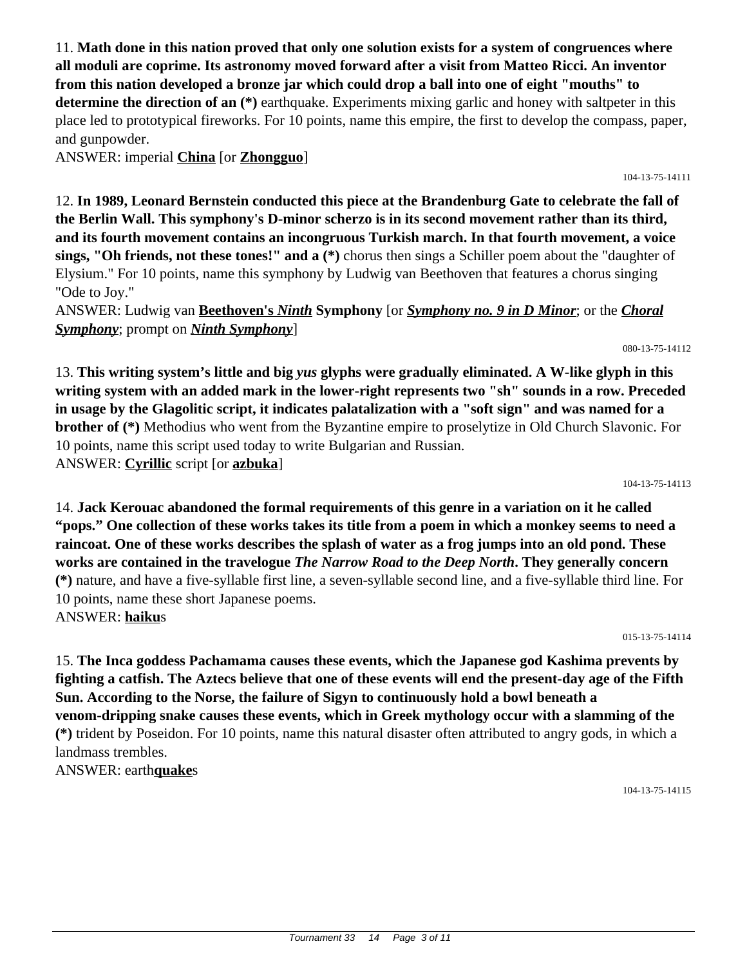11. **Math done in this nation proved that only one solution exists for a system of congruences where all moduli are coprime. Its astronomy moved forward after a visit from Matteo Ricci. An inventor from this nation developed a bronze jar which could drop a ball into one of eight "mouths" to determine the direction of an (\*)** earthquake. Experiments mixing garlic and honey with saltpeter in this place led to prototypical fireworks. For 10 points, name this empire, the first to develop the compass, paper, and gunpowder.

ANSWER: imperial **China** [or **Zhongguo**]

12. **In 1989, Leonard Bernstein conducted this piece at the Brandenburg Gate to celebrate the fall of the Berlin Wall. This symphony's D-minor scherzo is in its second movement rather than its third, and its fourth movement contains an incongruous Turkish march. In that fourth movement, a voice sings, "Oh friends, not these tones!" and a (\*)** chorus then sings a Schiller poem about the "daughter of Elysium." For 10 points, name this symphony by Ludwig van Beethoven that features a chorus singing "Ode to Joy."

ANSWER: Ludwig van **Beethoven's** *Ninth* **Symphony** [or *Symphony no. 9 in D Minor*; or the *Choral Symphony*; prompt on *Ninth Symphony*]

13. **This writing system's little and big** *yus* **glyphs were gradually eliminated. A W-like glyph in this writing system with an added mark in the lower-right represents two "sh" sounds in a row. Preceded in usage by the Glagolitic script, it indicates palatalization with a "soft sign" and was named for a brother of (\*)** Methodius who went from the Byzantine empire to proselytize in Old Church Slavonic. For 10 points, name this script used today to write Bulgarian and Russian. ANSWER: **Cyrillic** script [or **azbuka**]

104-13-75-14113

14. **Jack Kerouac abandoned the formal requirements of this genre in a variation on it he called "pops." One collection of these works takes its title from a poem in which a monkey seems to need a raincoat. One of these works describes the splash of water as a frog jumps into an old pond. These works are contained in the travelogue** *The Narrow Road to the Deep North***. They generally concern (\*)** nature, and have a five-syllable first line, a seven-syllable second line, and a five-syllable third line. For 10 points, name these short Japanese poems. ANSWER: **haiku**s

015-13-75-14114

15. **The Inca goddess Pachamama causes these events, which the Japanese god Kashima prevents by fighting a catfish. The Aztecs believe that one of these events will end the present-day age of the Fifth Sun. According to the Norse, the failure of Sigyn to continuously hold a bowl beneath a venom-dripping snake causes these events, which in Greek mythology occur with a slamming of the (\*)** trident by Poseidon. For 10 points, name this natural disaster often attributed to angry gods, in which a landmass trembles.

ANSWER: earth**quake**s

104-13-75-14115

#### 080-13-75-14112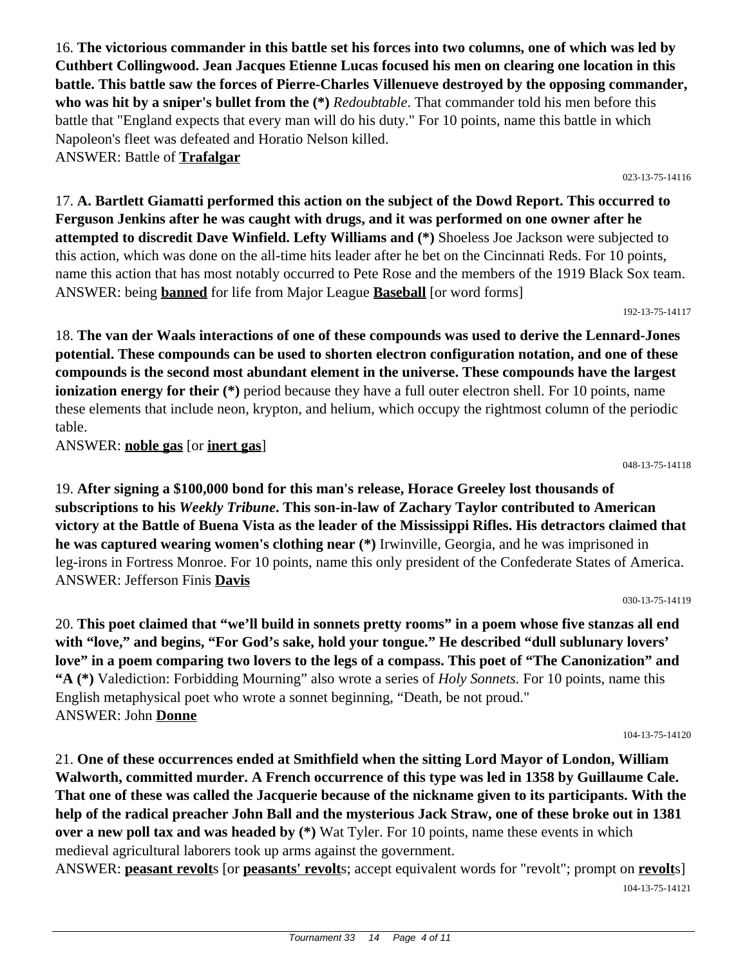16. **The victorious commander in this battle set his forces into two columns, one of which was led by Cuthbert Collingwood. Jean Jacques Etienne Lucas focused his men on clearing one location in this battle. This battle saw the forces of Pierre-Charles Villenueve destroyed by the opposing commander, who was hit by a sniper's bullet from the (\*)** *Redoubtable*. That commander told his men before this battle that "England expects that every man will do his duty." For 10 points, name this battle in which Napoleon's fleet was defeated and Horatio Nelson killed. ANSWER: Battle of **Trafalgar**

17. **A. Bartlett Giamatti performed this action on the subject of the Dowd Report. This occurred to Ferguson Jenkins after he was caught with drugs, and it was performed on one owner after he attempted to discredit Dave Winfield. Lefty Williams and (\*)** Shoeless Joe Jackson were subjected to this action, which was done on the all-time hits leader after he bet on the Cincinnati Reds. For 10 points, name this action that has most notably occurred to Pete Rose and the members of the 1919 Black Sox team. ANSWER: being **banned** for life from Major League **Baseball** [or word forms]

18. **The van der Waals interactions of one of these compounds was used to derive the Lennard-Jones potential. These compounds can be used to shorten electron configuration notation, and one of these compounds is the second most abundant element in the universe. These compounds have the largest ionization energy for their** (\*) period because they have a full outer electron shell. For 10 points, name these elements that include neon, krypton, and helium, which occupy the rightmost column of the periodic table.

ANSWER: **noble gas** [or **inert gas**]

19. **After signing a \$100,000 bond for this man's release, Horace Greeley lost thousands of subscriptions to his** *Weekly Tribune***. This son-in-law of Zachary Taylor contributed to American victory at the Battle of Buena Vista as the leader of the Mississippi Rifles. His detractors claimed that he was captured wearing women's clothing near (\*)** Irwinville, Georgia, and he was imprisoned in leg-irons in Fortress Monroe. For 10 points, name this only president of the Confederate States of America. ANSWER: Jefferson Finis **Davis**

20. **This poet claimed that "we'll build in sonnets pretty rooms" in a poem whose five stanzas all end with "love," and begins, "For God's sake, hold your tongue." He described "dull sublunary lovers' love" in a poem comparing two lovers to the legs of a compass. This poet of "The Canonization" and "A (\*)** Valediction: Forbidding Mourning" also wrote a series of *Holy Sonnets.* For 10 points, name this English metaphysical poet who wrote a sonnet beginning, "Death, be not proud." ANSWER: John **Donne**

104-13-75-14120

21. **One of these occurrences ended at Smithfield when the sitting Lord Mayor of London, William Walworth, committed murder. A French occurrence of this type was led in 1358 by Guillaume Cale. That one of these was called the Jacquerie because of the nickname given to its participants. With the help of the radical preacher John Ball and the mysterious Jack Straw, one of these broke out in 1381 over a new poll tax and was headed by**  $(*)$  **Wat Tyler. For 10 points, name these events in which** medieval agricultural laborers took up arms against the government.

ANSWER: **peasant revolt**s [or **peasants' revolt**s; accept equivalent words for "revolt"; prompt on **revolt**s] 104-13-75-14121

023-13-75-14116

192-13-75-14117

048-13-75-14118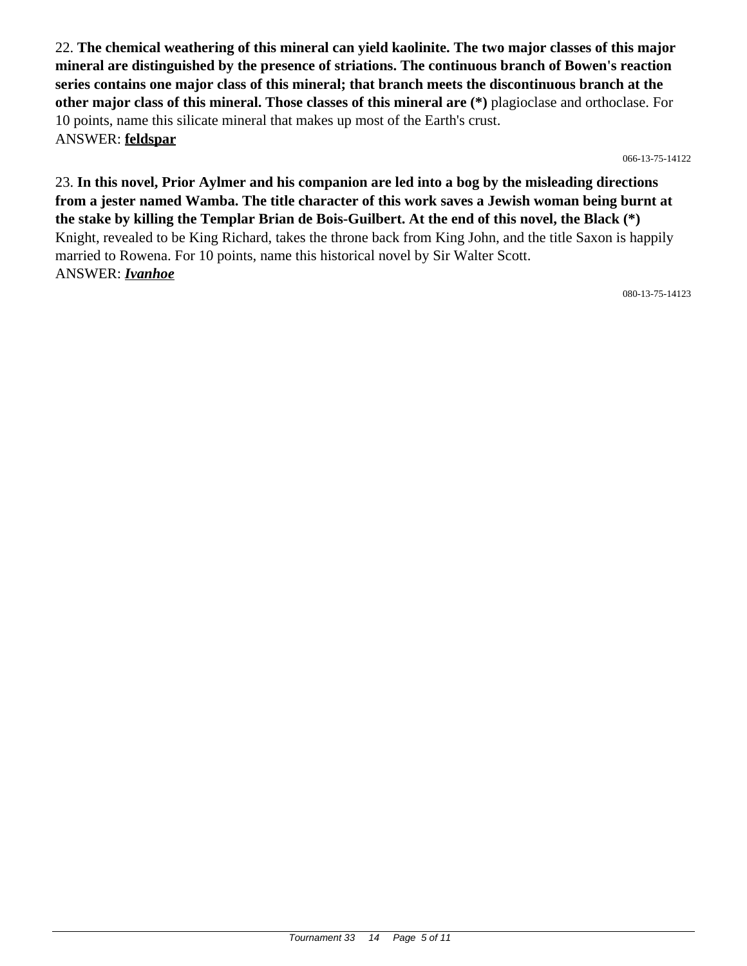22. **The chemical weathering of this mineral can yield kaolinite. The two major classes of this major mineral are distinguished by the presence of striations. The continuous branch of Bowen's reaction series contains one major class of this mineral; that branch meets the discontinuous branch at the other major class of this mineral. Those classes of this mineral are (\*)** plagioclase and orthoclase. For 10 points, name this silicate mineral that makes up most of the Earth's crust. ANSWER: **feldspar**

066-13-75-14122

23. **In this novel, Prior Aylmer and his companion are led into a bog by the misleading directions from a jester named Wamba. The title character of this work saves a Jewish woman being burnt at the stake by killing the Templar Brian de Bois-Guilbert. At the end of this novel, the Black (\*)** Knight, revealed to be King Richard, takes the throne back from King John, and the title Saxon is happily married to Rowena. For 10 points, name this historical novel by Sir Walter Scott. ANSWER: *Ivanhoe*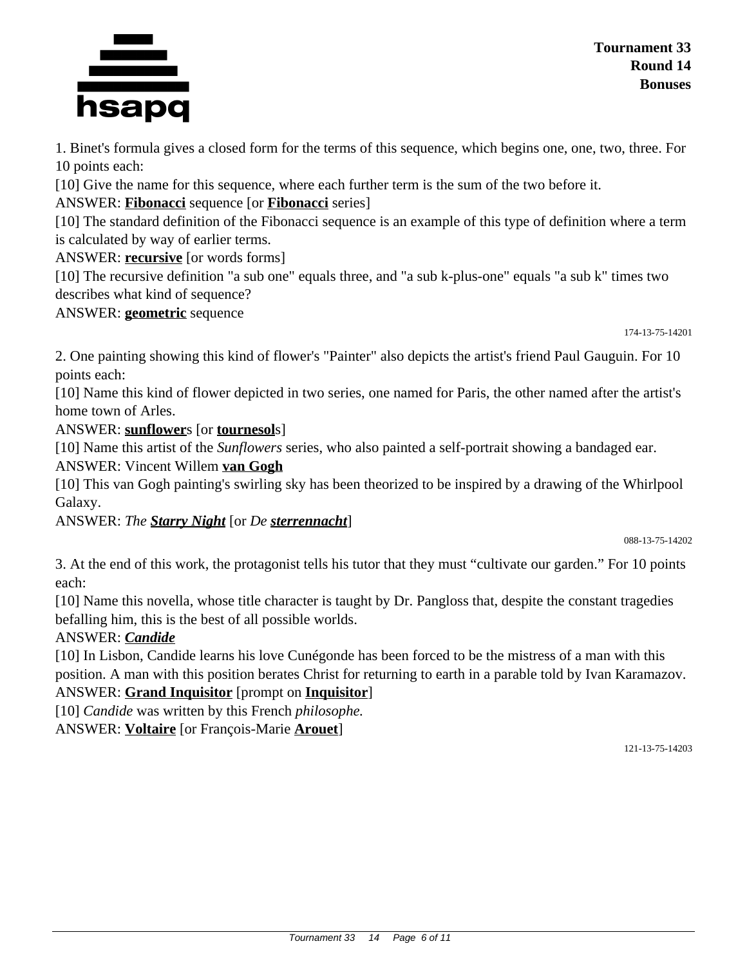

1. Binet's formula gives a closed form for the terms of this sequence, which begins one, one, two, three. For 10 points each:

[10] Give the name for this sequence, where each further term is the sum of the two before it.

ANSWER: **Fibonacci** sequence [or **Fibonacci** series]

[10] The standard definition of the Fibonacci sequence is an example of this type of definition where a term is calculated by way of earlier terms.

ANSWER: **recursive** [or words forms]

[10] The recursive definition "a sub one" equals three, and "a sub k-plus-one" equals "a sub k" times two describes what kind of sequence?

ANSWER: **geometric** sequence

174-13-75-14201

2. One painting showing this kind of flower's "Painter" also depicts the artist's friend Paul Gauguin. For 10 points each:

[10] Name this kind of flower depicted in two series, one named for Paris, the other named after the artist's home town of Arles.

ANSWER: **sunflower**s [or **tournesol**s]

[10] Name this artist of the *Sunflowers* series, who also painted a self-portrait showing a bandaged ear. ANSWER: Vincent Willem **van Gogh**

[10] This van Gogh painting's swirling sky has been theorized to be inspired by a drawing of the Whirlpool Galaxy.

ANSWER: *The Starry Night* [or *De sterrennacht*]

088-13-75-14202

3. At the end of this work, the protagonist tells his tutor that they must "cultivate our garden." For 10 points each:

[10] Name this novella, whose title character is taught by Dr. Pangloss that, despite the constant tragedies befalling him, this is the best of all possible worlds.

# ANSWER: *Candide*

[10] In Lisbon, Candide learns his love Cunégonde has been forced to be the mistress of a man with this position. A man with this position berates Christ for returning to earth in a parable told by Ivan Karamazov.

ANSWER: **Grand Inquisitor** [prompt on **Inquisitor**]

[10] *Candide* was written by this French *philosophe.* ANSWER: **Voltaire** [or François-Marie **Arouet**]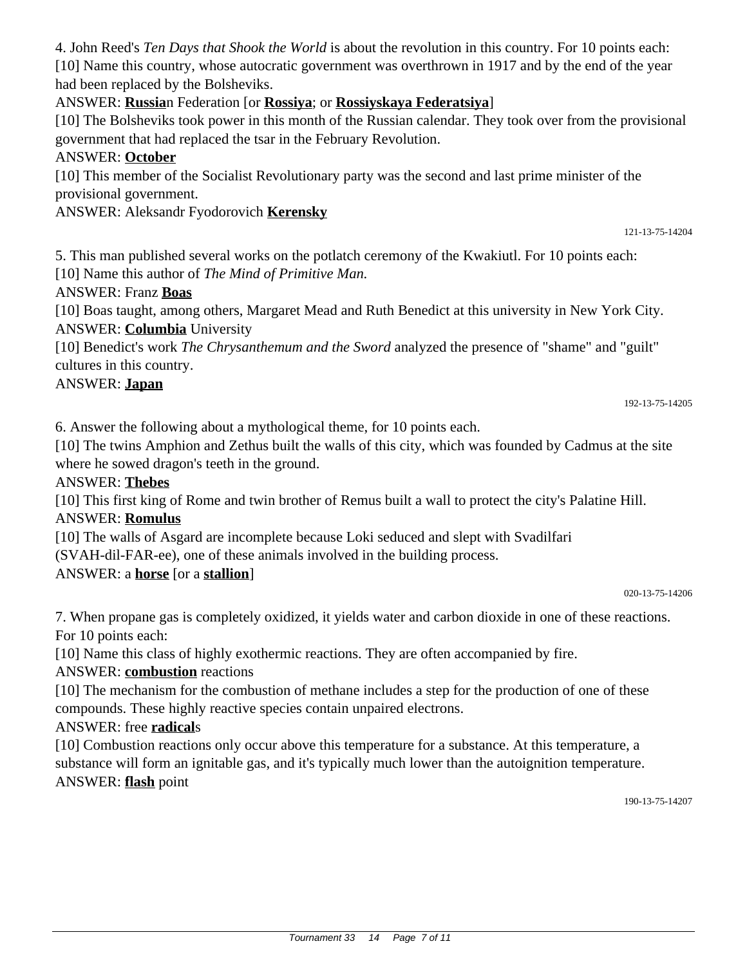Tournament 33 14 Page 7 of 11

4. John Reed's *Ten Days that Shook the World* is about the revolution in this country. For 10 points each: [10] Name this country, whose autocratic government was overthrown in 1917 and by the end of the year had been replaced by the Bolsheviks.

ANSWER: **Russia**n Federation [or **Rossiya**; or **Rossiyskaya Federatsiya**]

[10] The Bolsheviks took power in this month of the Russian calendar. They took over from the provisional government that had replaced the tsar in the February Revolution.

#### ANSWER: **October**

[10] This member of the Socialist Revolutionary party was the second and last prime minister of the provisional government.

#### ANSWER: Aleksandr Fyodorovich **Kerensky**

5. This man published several works on the potlatch ceremony of the Kwakiutl. For 10 points each:

[10] Name this author of *The Mind of Primitive Man.*

#### ANSWER: Franz **Boas**

[10] Boas taught, among others, Margaret Mead and Ruth Benedict at this university in New York City. ANSWER: **Columbia** University

[10] Benedict's work *The Chrysanthemum and the Sword* analyzed the presence of "shame" and "guilt" cultures in this country.

#### ANSWER: **Japan**

192-13-75-14205

121-13-75-14204

6. Answer the following about a mythological theme, for 10 points each.

[10] The twins Amphion and Zethus built the walls of this city, which was founded by Cadmus at the site where he sowed dragon's teeth in the ground.

#### ANSWER: **Thebes**

[10] This first king of Rome and twin brother of Remus built a wall to protect the city's Palatine Hill. ANSWER: **Romulus**

[10] The walls of Asgard are incomplete because Loki seduced and slept with Svadilfari (SVAH-dil-FAR-ee), one of these animals involved in the building process.

## ANSWER: a **horse** [or a **stallion**]

020-13-75-14206

7. When propane gas is completely oxidized, it yields water and carbon dioxide in one of these reactions. For 10 points each:

[10] Name this class of highly exothermic reactions. They are often accompanied by fire.

## ANSWER: **combustion** reactions

[10] The mechanism for the combustion of methane includes a step for the production of one of these compounds. These highly reactive species contain unpaired electrons.

#### ANSWER: free **radical**s

[10] Combustion reactions only occur above this temperature for a substance. At this temperature, a substance will form an ignitable gas, and it's typically much lower than the autoignition temperature. ANSWER: **flash** point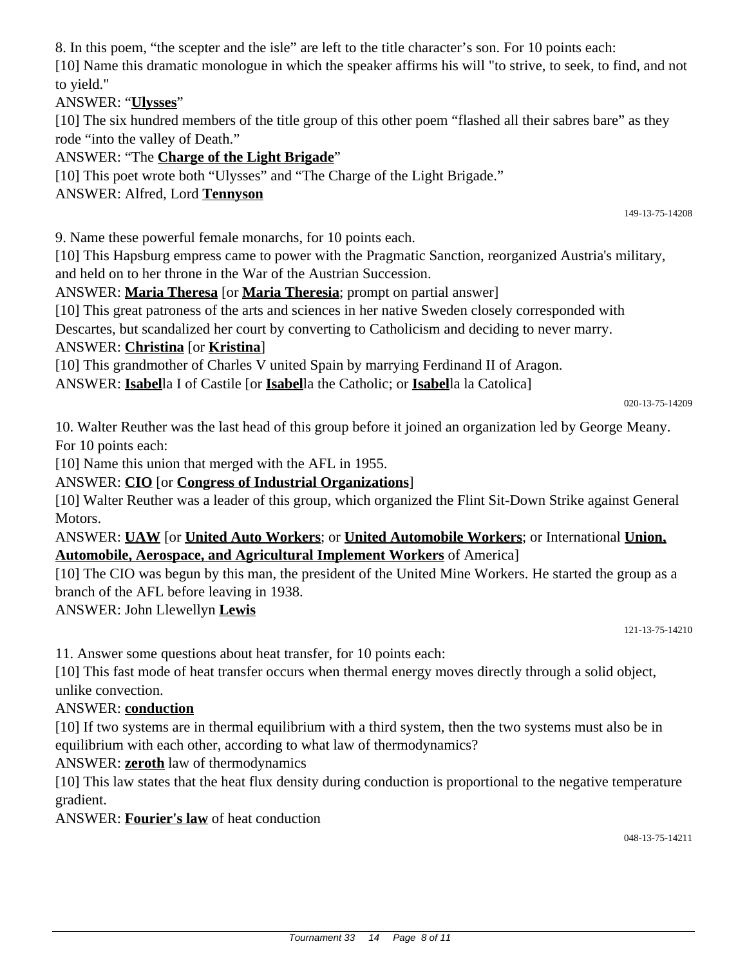8. In this poem, "the scepter and the isle" are left to the title character's son. For 10 points each:

[10] Name this dramatic monologue in which the speaker affirms his will "to strive, to seek, to find, and not to yield."

## ANSWER: "**Ulysses**"

[10] The six hundred members of the title group of this other poem "flashed all their sabres bare" as they rode "into the valley of Death."

ANSWER: "The **Charge of the Light Brigade**"

[10] This poet wrote both "Ulysses" and "The Charge of the Light Brigade."

## ANSWER: Alfred, Lord **Tennyson**

149-13-75-14208

9. Name these powerful female monarchs, for 10 points each.

[10] This Hapsburg empress came to power with the Pragmatic Sanction, reorganized Austria's military, and held on to her throne in the War of the Austrian Succession.

ANSWER: **Maria Theresa** [or **Maria Theresia**; prompt on partial answer]

[10] This great patroness of the arts and sciences in her native Sweden closely corresponded with

Descartes, but scandalized her court by converting to Catholicism and deciding to never marry.

## ANSWER: **Christina** [or **Kristina**]

[10] This grandmother of Charles V united Spain by marrying Ferdinand II of Aragon.

ANSWER: **Isabel**la I of Castile [or **Isabel**la the Catholic; or **Isabel**la la Catolica]

020-13-75-14209

10. Walter Reuther was the last head of this group before it joined an organization led by George Meany. For 10 points each:

[10] Name this union that merged with the AFL in 1955.

#### ANSWER: **CIO** [or **Congress of Industrial Organizations**]

[10] Walter Reuther was a leader of this group, which organized the Flint Sit-Down Strike against General Motors.

ANSWER: **UAW** [or **United Auto Workers**; or **United Automobile Workers**; or International **Union, Automobile, Aerospace, and Agricultural Implement Workers** of America]

[10] The CIO was begun by this man, the president of the United Mine Workers. He started the group as a branch of the AFL before leaving in 1938.

ANSWER: John Llewellyn **Lewis**

121-13-75-14210

11. Answer some questions about heat transfer, for 10 points each:

[10] This fast mode of heat transfer occurs when thermal energy moves directly through a solid object, unlike convection.

## ANSWER: **conduction**

[10] If two systems are in thermal equilibrium with a third system, then the two systems must also be in equilibrium with each other, according to what law of thermodynamics?

## ANSWER: **zeroth** law of thermodynamics

[10] This law states that the heat flux density during conduction is proportional to the negative temperature gradient.

ANSWER: **Fourier's law** of heat conduction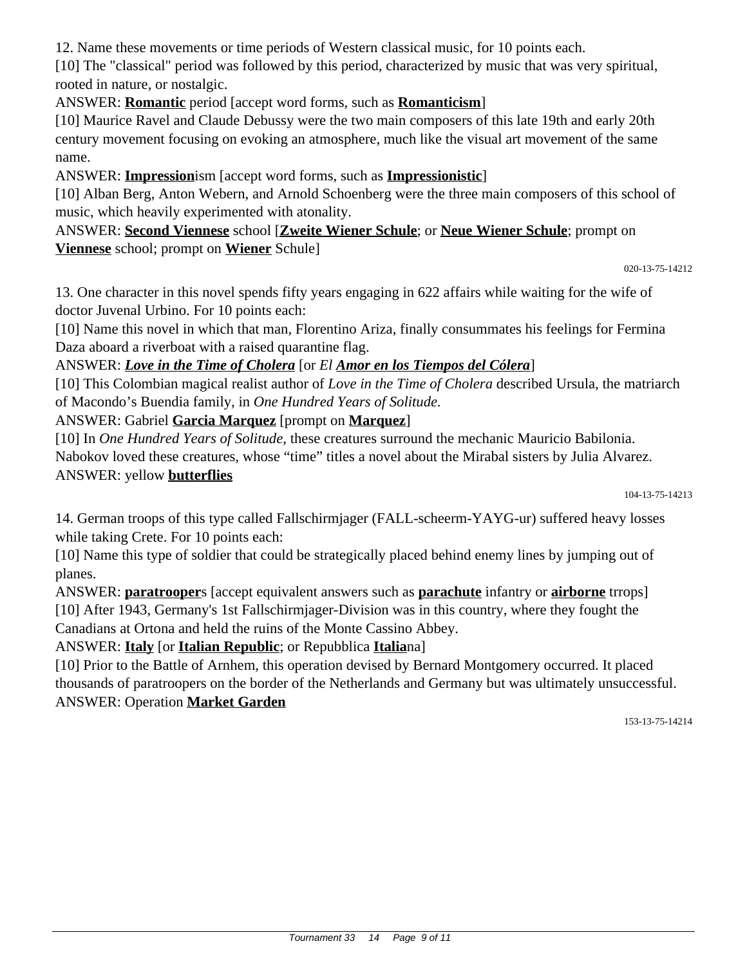12. Name these movements or time periods of Western classical music, for 10 points each.

[10] The "classical" period was followed by this period, characterized by music that was very spiritual, rooted in nature, or nostalgic.

ANSWER: **Romantic** period [accept word forms, such as **Romanticism**]

[10] Maurice Ravel and Claude Debussy were the two main composers of this late 19th and early 20th century movement focusing on evoking an atmosphere, much like the visual art movement of the same name.

ANSWER: **Impression**ism [accept word forms, such as **Impressionistic**]

[10] Alban Berg, Anton Webern, and Arnold Schoenberg were the three main composers of this school of music, which heavily experimented with atonality.

ANSWER: **Second Viennese** school [**Zweite Wiener Schule**; or **Neue Wiener Schule**; prompt on **Viennese** school; prompt on **Wiener** Schule]

020-13-75-14212

13. One character in this novel spends fifty years engaging in 622 affairs while waiting for the wife of doctor Juvenal Urbino. For 10 points each:

[10] Name this novel in which that man, Florentino Ariza, finally consummates his feelings for Fermina Daza aboard a riverboat with a raised quarantine flag.

## ANSWER: *Love in the Time of Cholera* [or *El Amor en los Tiempos del Cólera*]

[10] This Colombian magical realist author of *Love in the Time of Cholera* described Ursula, the matriarch of Macondo's Buendia family, in *One Hundred Years of Solitude.*

## ANSWER: Gabriel **Garcia Marquez** [prompt on **Marquez**]

[10] In *One Hundred Years of Solitude*, these creatures surround the mechanic Mauricio Babilonia. Nabokov loved these creatures, whose "time" titles a novel about the Mirabal sisters by Julia Alvarez. ANSWER: yellow **butterflies**

14. German troops of this type called Fallschirmjager (FALL-scheerm-YAYG-ur) suffered heavy losses while taking Crete. For 10 points each:

[10] Name this type of soldier that could be strategically placed behind enemy lines by jumping out of planes.

ANSWER: **paratrooper**s [accept equivalent answers such as **parachute** infantry or **airborne** trrops] [10] After 1943, Germany's 1st Fallschirmjager-Division was in this country, where they fought the Canadians at Ortona and held the ruins of the Monte Cassino Abbey.

ANSWER: **Italy** [or **Italian Republic**; or Repubblica **Italia**na]

[10] Prior to the Battle of Arnhem, this operation devised by Bernard Montgomery occurred. It placed thousands of paratroopers on the border of the Netherlands and Germany but was ultimately unsuccessful. ANSWER: Operation **Market Garden**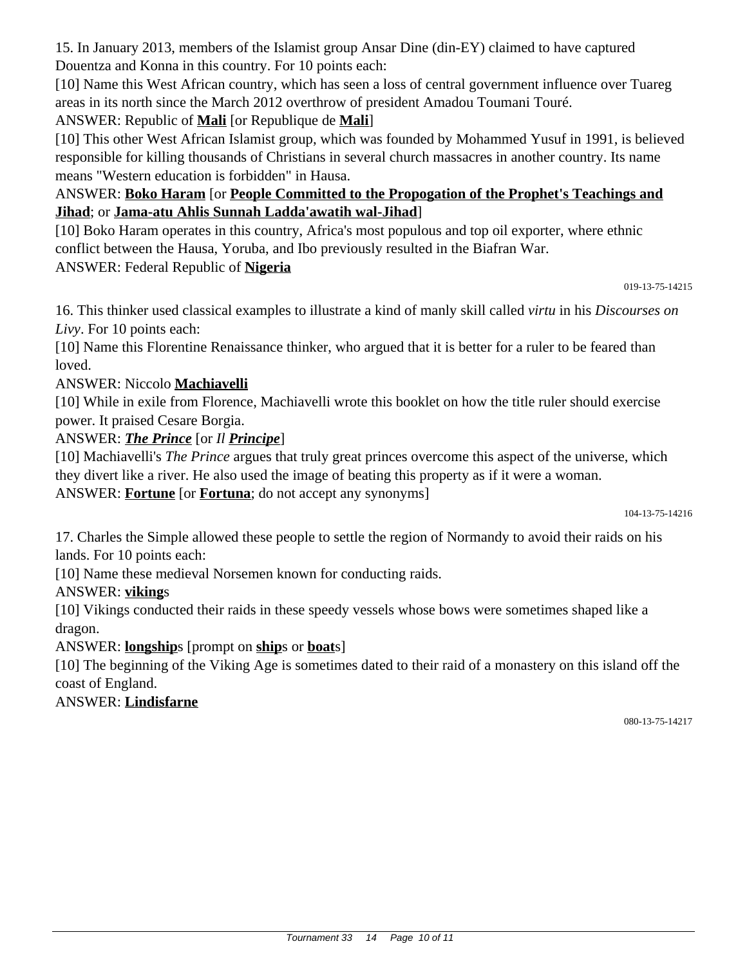15. In January 2013, members of the Islamist group Ansar Dine (din-EY) claimed to have captured Douentza and Konna in this country. For 10 points each:

[10] Name this West African country, which has seen a loss of central government influence over Tuareg areas in its north since the March 2012 overthrow of president Amadou Toumani Touré.

# ANSWER: Republic of **Mali** [or Republique de **Mali**]

[10] This other West African Islamist group, which was founded by Mohammed Yusuf in 1991, is believed responsible for killing thousands of Christians in several church massacres in another country. Its name means "Western education is forbidden" in Hausa.

## ANSWER: **Boko Haram** [or **People Committed to the Propogation of the Prophet's Teachings and Jihad**; or **Jama-atu Ahlis Sunnah Ladda'awatih wal-Jihad**]

[10] Boko Haram operates in this country, Africa's most populous and top oil exporter, where ethnic conflict between the Hausa, Yoruba, and Ibo previously resulted in the Biafran War. ANSWER: Federal Republic of **Nigeria**

019-13-75-14215

16. This thinker used classical examples to illustrate a kind of manly skill called *virtu* in his *Discourses on Livy*. For 10 points each:

[10] Name this Florentine Renaissance thinker, who argued that it is better for a ruler to be feared than loved.

## ANSWER: Niccolo **Machiavelli**

[10] While in exile from Florence, Machiavelli wrote this booklet on how the title ruler should exercise power. It praised Cesare Borgia.

## ANSWER: *The Prince* [or *Il Principe*]

[10] Machiavelli's *The Prince* argues that truly great princes overcome this aspect of the universe, which they divert like a river. He also used the image of beating this property as if it were a woman. ANSWER: **Fortune** [or **Fortuna**; do not accept any synonyms]

104-13-75-14216

17. Charles the Simple allowed these people to settle the region of Normandy to avoid their raids on his lands. For 10 points each:

[10] Name these medieval Norsemen known for conducting raids.

## ANSWER: **viking**s

[10] Vikings conducted their raids in these speedy vessels whose bows were sometimes shaped like a dragon.

# ANSWER: **longship**s [prompt on **ship**s or **boat**s]

[10] The beginning of the Viking Age is sometimes dated to their raid of a monastery on this island off the coast of England.

## ANSWER: **Lindisfarne**